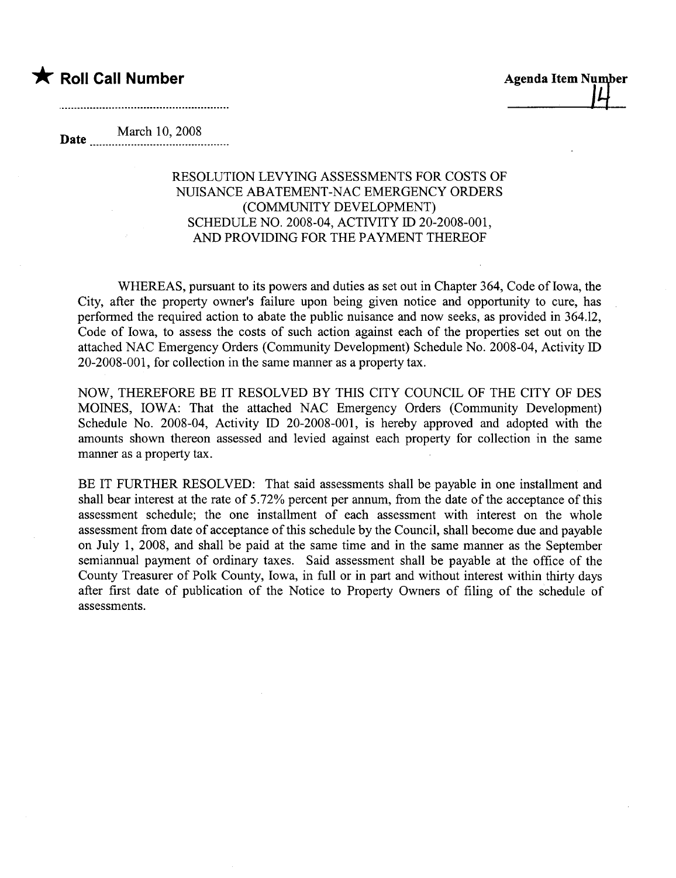

March 10, 2008

## RESOLUTION LEVYING ASSESSMENTS FOR COSTS OF NUISANCE ABATEMENT-NAC EMERGENCY ORDERS (COMMUNITY DEVELOPMENT) SCHEDULE NO. 2008-04, ACTIVITY ID 20-2008-001, AND PROVIDING FOR THE PAYMENT THEREOF

WHEREAS, pursuant to its powers and duties as set out in Chapter 364, Code of Iowa, the City, after the property owner's failure upon being given notice and opportunity to cure, has performed the required action to abate the public nuisance and now seeks, as provided in 364.12, Code of Iowa, to assess the costs of such action against each of the properties set out on the attached NAC Emergency Orders (Community Development) Schedule No. 2008-04, Activity ID 20-2008-001, for collection in the same maner as a property tax.

NOW, THEREFORE BE IT RESOLVED BY THIS CITY COUNCIL OF THE CITY OF DES MOINS, IOWA: That the attached NAC Emergency Orders (Community Development) Schedule No. 2008-04, Activity ID 20-2008-001, is hereby approved and adopted with the amounts shown thereon assessed and levied against each property for collection in the same manner as a property tax.

BE IT FURTHER RESOLVED: That said assessments shall be payable in one installment and shall bear interest at the rate of 5.72% percent per annum, from the date of the acceptance of this assessment schedule; the one installment of each assessment with interest on the whole assessment from date of acceptance of this schedule by the Council, shall become due and payable on July 1, 2008, and shall be paid at the same time and in the same manner as the September semiannual payment of ordinary taxes. Said assessment shall be payable at the office of the County Treasurer of Polk County, Iowa, in full or in part and without interest within thirty days after first date of publication of the Notice to Property Owners of filing of the schedule of assessments.